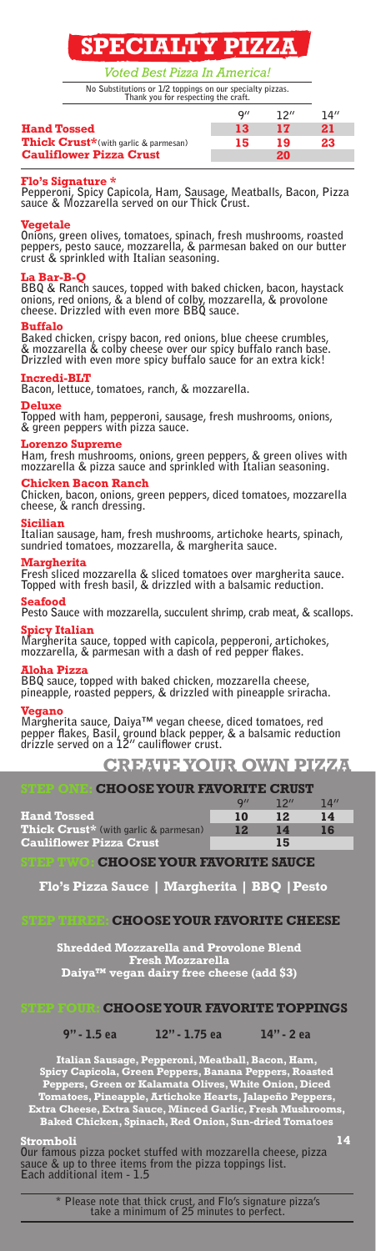## SPECIALTY PIZZA

Voted Best Pizza In America!

**No Substitutions or 1/2 toppings on our specialty pizzas. Thank you for respecting the craft.**

|                                              | Q'' | 12'' | 14'' |
|----------------------------------------------|-----|------|------|
| <b>Hand Tossed</b>                           | 13  | 17   | 21   |
| <b>Thick Crust*</b> (with garlic & parmesan) | 15  | 19   | 23   |
| <b>Cauliflower Pizza Crust</b>               |     | 20   |      |

Flo's Signature \* **Pepperoni, Spicy Capicola, Ham, Sausage, Meatballs, Bacon, Pizza sauce & Mozzarella served on our Thick Crust.** 

### $e$ getale

**Onions, green olives, tomatoes, spinach, fresh mushrooms, roasted peppers, pesto sauce, mozzarella, & parmesan baked on our butter crust & sprinkled with Italian seasoning.**

La Bar-B-Q **BBQ & Ranch sauces, topped with baked chicken, bacon, haystack onions, red onions, & a blend of colby, mozzarella, & provolone cheese. Drizzled with even more BBQ sauce.**

## Buffalo

**Baked chicken, crispy bacon, red onions, blue cheese crumbles, & mozzarella & colby cheese over our spicy buffalo ranch base. Drizzled with even more spicy buffalo sauce for an extra kick!**

## Incredi-BLT

**Bacon, lettuce, tomatoes, ranch, & mozzarella.**

Deluxe **Topped with ham, pepperoni, sausage, fresh mushrooms, onions, & green peppers with pizza sauce.**

## prenzo Supreme

**Ham, fresh mushrooms, onions, green peppers, & green olives with mozzarella & pizza sauce and sprinkled with Italian seasoning.**

## hicken Bacon Ranch!

**Chicken, bacon, onions, green peppers, diced tomatoes, mozzarella cheese, & ranch dressing.**

## Sicilian

**Italian sausage, ham, fresh mushrooms, artichoke hearts, spinach, sundried tomatoes, mozzarella, & margherita sauce.**

**Margherita**<br>Fresh sliced mozzarella & sliced tomatoes over margherita sauce. **Topped with fresh basil, & drizzled with a balsamic reduction.**

Seafood **Pesto Sauce with mozzarella, succulent shrimp, crab meat, & scallops.**

Spicy Italian **Margherita sauce, topped with capicola, pepperoni, artichokes, mozzarella, & parmesan with a dash of red pepper flakes.** 

Aloha Pizza **BBQ sauce, topped with baked chicken, mozzarella cheese, pineapple, roasted peppers, & drizzled with pineapple sriracha.**

Vegano **Margherita sauce, Daiya™ vegan cheese, diced tomatoes, red pepper flakes, Basil, ground black pepper, & a balsamic reduction drizzle served on a 12" cauliflower crust.**

## CREATE YOUR OWN PIZZA

| <b>CHOOSE YOUR FAVORITE CRUST</b><br>付出 24 2年の10日 |     |                     |      |  |  |
|---------------------------------------------------|-----|---------------------|------|--|--|
|                                                   | Q'' | $12^{\prime\prime}$ | 14'' |  |  |
| <b>Hand Tossed</b>                                | 10  | $12$                | 14   |  |  |
| Thick Crust* (with garlic & parmesan)             | 12  | 14                  | 16   |  |  |
| <b>Cauliflower Pizza Crust</b>                    |     | 15                  |      |  |  |

CHOOSE YOUR FAVORITE SAUCE

Flo's Pizza Sauce | Margherita | BBQ |Pesto

## **CHOOSE YOUR FAVORITE CHEESE**

Shredded Mozzarella and Provolone Blend Fresh Mozzarella Daiya™ vegan dairy free cheese (add \$3)

## **CHOOSE YOUR FAVORITE TOPPINGS**

9" - 1.5 ea 12" - 1.75 ea 14" - 2 ea

11

Italian Sausage, Pepperoni, Meatball, Bacon, Ham, Spicy Capicola, Green Peppers, Banana Peppers, Roasted Peppers, Green or Kalamata Olives, White Onion, Diced Tomatoes, Pineapple, Artichoke Hearts, Jalapeño Peppers, Extra Cheese, Extra Sauce, Minced Garlic, Fresh Mushrooms, Baked Chicken, Spinach, Red Onion, Sun-dried Tomatoes

Stromboli **Our famous pizza pocket stuffed with mozzarella cheese, pizza sauce & up to three items from the pizza toppings list. Each additional item - 1.5**

> **\* Please note that thick crust, and Flo's signature pizza's take a minimum of 25 minutes to perfect.**